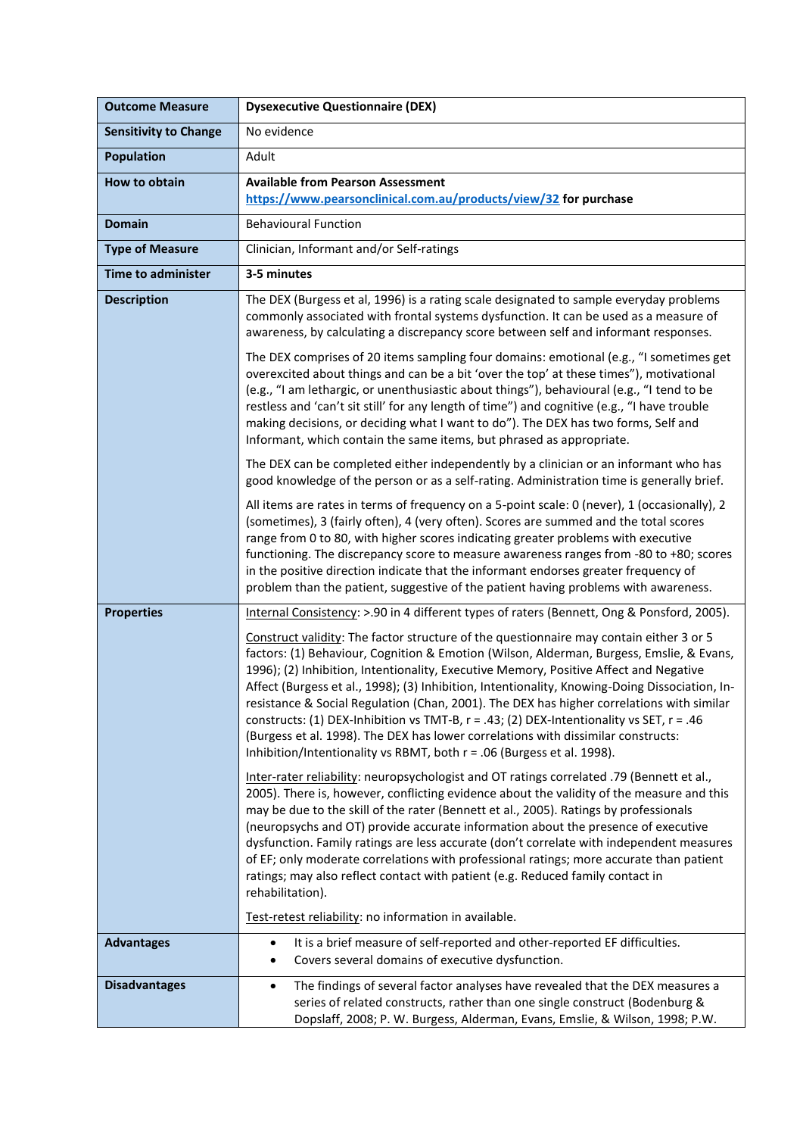| <b>Outcome Measure</b>       | <b>Dysexecutive Questionnaire (DEX)</b>                                                                                                                                                                                                                                                                                                                                                                                                                                                                                                                                                                                                                                                                                                |
|------------------------------|----------------------------------------------------------------------------------------------------------------------------------------------------------------------------------------------------------------------------------------------------------------------------------------------------------------------------------------------------------------------------------------------------------------------------------------------------------------------------------------------------------------------------------------------------------------------------------------------------------------------------------------------------------------------------------------------------------------------------------------|
| <b>Sensitivity to Change</b> | No evidence                                                                                                                                                                                                                                                                                                                                                                                                                                                                                                                                                                                                                                                                                                                            |
| <b>Population</b>            | Adult                                                                                                                                                                                                                                                                                                                                                                                                                                                                                                                                                                                                                                                                                                                                  |
| How to obtain                | <b>Available from Pearson Assessment</b><br>https://www.pearsonclinical.com.au/products/view/32 for purchase                                                                                                                                                                                                                                                                                                                                                                                                                                                                                                                                                                                                                           |
| <b>Domain</b>                | <b>Behavioural Function</b>                                                                                                                                                                                                                                                                                                                                                                                                                                                                                                                                                                                                                                                                                                            |
| <b>Type of Measure</b>       | Clinician, Informant and/or Self-ratings                                                                                                                                                                                                                                                                                                                                                                                                                                                                                                                                                                                                                                                                                               |
| <b>Time to administer</b>    | 3-5 minutes                                                                                                                                                                                                                                                                                                                                                                                                                                                                                                                                                                                                                                                                                                                            |
| <b>Description</b>           | The DEX (Burgess et al, 1996) is a rating scale designated to sample everyday problems<br>commonly associated with frontal systems dysfunction. It can be used as a measure of<br>awareness, by calculating a discrepancy score between self and informant responses.<br>The DEX comprises of 20 items sampling four domains: emotional (e.g., "I sometimes get<br>overexcited about things and can be a bit 'over the top' at these times"), motivational<br>(e.g., "I am lethargic, or unenthusiastic about things"), behavioural (e.g., "I tend to be                                                                                                                                                                               |
|                              | restless and 'can't sit still' for any length of time") and cognitive (e.g., "I have trouble<br>making decisions, or deciding what I want to do"). The DEX has two forms, Self and<br>Informant, which contain the same items, but phrased as appropriate.                                                                                                                                                                                                                                                                                                                                                                                                                                                                             |
|                              | The DEX can be completed either independently by a clinician or an informant who has<br>good knowledge of the person or as a self-rating. Administration time is generally brief.                                                                                                                                                                                                                                                                                                                                                                                                                                                                                                                                                      |
|                              | All items are rates in terms of frequency on a 5-point scale: 0 (never), 1 (occasionally), 2<br>(sometimes), 3 (fairly often), 4 (very often). Scores are summed and the total scores<br>range from 0 to 80, with higher scores indicating greater problems with executive<br>functioning. The discrepancy score to measure awareness ranges from -80 to +80; scores<br>in the positive direction indicate that the informant endorses greater frequency of<br>problem than the patient, suggestive of the patient having problems with awareness.                                                                                                                                                                                     |
| <b>Properties</b>            | Internal Consistency: >.90 in 4 different types of raters (Bennett, Ong & Ponsford, 2005).                                                                                                                                                                                                                                                                                                                                                                                                                                                                                                                                                                                                                                             |
|                              | Construct validity: The factor structure of the questionnaire may contain either 3 or 5<br>factors: (1) Behaviour, Cognition & Emotion (Wilson, Alderman, Burgess, Emslie, & Evans,<br>1996); (2) Inhibition, Intentionality, Executive Memory, Positive Affect and Negative<br>Affect (Burgess et al., 1998); (3) Inhibition, Intentionality, Knowing-Doing Dissociation, In-<br>resistance & Social Regulation (Chan, 2001). The DEX has higher correlations with similar<br>constructs: (1) DEX-Inhibition vs TMT-B, r = .43; (2) DEX-Intentionality vs SET, r = .46<br>(Burgess et al. 1998). The DEX has lower correlations with dissimilar constructs:<br>Inhibition/Intentionality vs RBMT, both r = .06 (Burgess et al. 1998). |
|                              | Inter-rater reliability: neuropsychologist and OT ratings correlated .79 (Bennett et al.,<br>2005). There is, however, conflicting evidence about the validity of the measure and this<br>may be due to the skill of the rater (Bennett et al., 2005). Ratings by professionals<br>(neuropsychs and OT) provide accurate information about the presence of executive<br>dysfunction. Family ratings are less accurate (don't correlate with independent measures<br>of EF; only moderate correlations with professional ratings; more accurate than patient<br>ratings; may also reflect contact with patient (e.g. Reduced family contact in<br>rehabilitation).                                                                      |
|                              | Test-retest reliability: no information in available.                                                                                                                                                                                                                                                                                                                                                                                                                                                                                                                                                                                                                                                                                  |
| <b>Advantages</b>            | It is a brief measure of self-reported and other-reported EF difficulties.<br>$\bullet$<br>Covers several domains of executive dysfunction.<br>$\bullet$                                                                                                                                                                                                                                                                                                                                                                                                                                                                                                                                                                               |
| <b>Disadvantages</b>         | The findings of several factor analyses have revealed that the DEX measures a<br>$\bullet$<br>series of related constructs, rather than one single construct (Bodenburg &<br>Dopslaff, 2008; P. W. Burgess, Alderman, Evans, Emslie, & Wilson, 1998; P.W.                                                                                                                                                                                                                                                                                                                                                                                                                                                                              |